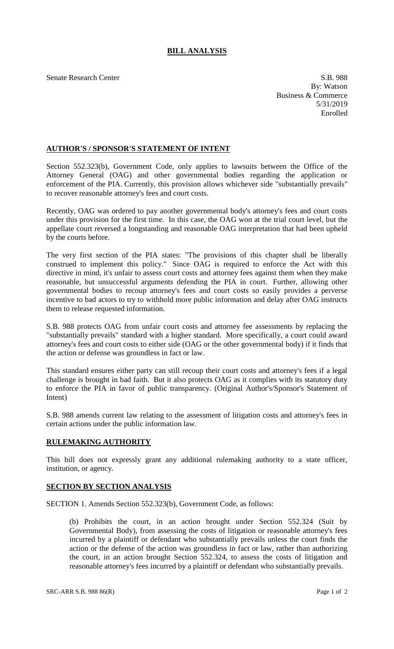## **BILL ANALYSIS**

Senate Research Center S.B. 988 By: Watson Business & Commerce 5/31/2019 Enrolled

## **AUTHOR'S / SPONSOR'S STATEMENT OF INTENT**

Section 552.323(b), Government Code, only applies to lawsuits between the Office of the Attorney General (OAG) and other governmental bodies regarding the application or enforcement of the PIA. Currently, this provision allows whichever side "substantially prevails" to recover reasonable attorney's fees and court costs.

Recently, OAG was ordered to pay another governmental body's attorney's fees and court costs under this provision for the first time. In this case, the OAG won at the trial court level, but the appellate court reversed a longstanding and reasonable OAG interpretation that had been upheld by the courts before.

The very first section of the PIA states: "The provisions of this chapter shall be liberally construed to implement this policy." Since OAG is required to enforce the Act with this directive in mind, it's unfair to assess court costs and attorney fees against them when they make reasonable, but unsuccessful arguments defending the PIA in court. Further, allowing other governmental bodies to recoup attorney's fees and court costs so easily provides a perverse incentive to bad actors to try to withhold more public information and delay after OAG instructs them to release requested information.

S.B. 988 protects OAG from unfair court costs and attorney fee assessments by replacing the "substantially prevails" standard with a higher standard. More specifically, a court could award attorney's fees and court costs to either side (OAG or the other governmental body) if it finds that the action or defense was groundless in fact or law.

This standard ensures either party can still recoup their court costs and attorney's fees if a legal challenge is brought in bad faith. But it also protects OAG as it complies with its statutory duty to enforce the PIA in favor of public transparency. (Original Author's/Sponsor's Statement of Intent)

S.B. 988 amends current law relating to the assessment of litigation costs and attorney's fees in certain actions under the public information law.

## **RULEMAKING AUTHORITY**

This bill does not expressly grant any additional rulemaking authority to a state officer, institution, or agency.

## **SECTION BY SECTION ANALYSIS**

SECTION 1. Amends Section 552.323(b), Government Code, as follows:

(b) Prohibits the court, in an action brought under Section 552.324 (Suit by Governmental Body), from assessing the costs of litigation or reasonable attorney's fees incurred by a plaintiff or defendant who substantially prevails unless the court finds the action or the defense of the action was groundless in fact or law, rather than authorizing the court, in an action brought Section 552.324, to assess the costs of litigation and reasonable attorney's fees incurred by a plaintiff or defendant who substantially prevails.